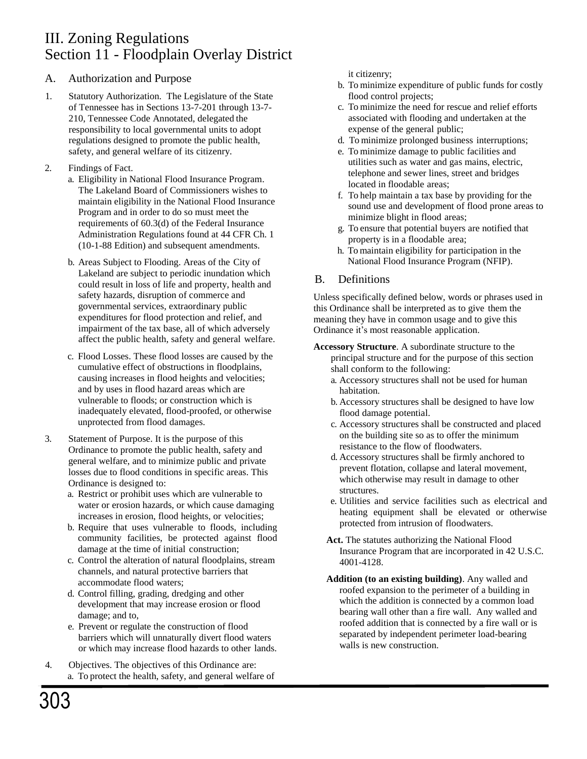### A. Authorization and Purpose

- 1. Statutory Authorization. The Legislature of the State of Tennessee has in Sections 13-7-201 through 13-7- 210, Tennessee Code Annotated, delegated the responsibility to local governmental units to adopt regulations designed to promote the public health, safety, and general welfare of its citizenry.
- 2. Findings of Fact.
	- a. Eligibility in National Flood Insurance Program. The Lakeland Board of Commissioners wishes to maintain eligibility in the National Flood Insurance Program and in order to do so must meet the requirements of 60.3(d) of the Federal Insurance Administration Regulations found at 44 CFR Ch. 1 (10-1-88 Edition) and subsequent amendments.
	- b. Areas Subject to Flooding. Areas of the City of Lakeland are subject to periodic inundation which could result in loss of life and property, health and safety hazards, disruption of commerce and governmental services, extraordinary public expenditures for flood protection and relief, and impairment of the tax base, all of which adversely affect the public health, safety and general welfare.
	- c. Flood Losses. These flood losses are caused by the cumulative effect of obstructions in floodplains, causing increases in flood heights and velocities; and by uses in flood hazard areas which are vulnerable to floods; or construction which is inadequately elevated, flood-proofed, or otherwise unprotected from flood damages.
- 3. Statement of Purpose. It is the purpose of this Ordinance to promote the public health, safety and general welfare, and to minimize public and private losses due to flood conditions in specific areas. This Ordinance is designed to:
	- a. Restrict or prohibit uses which are vulnerable to water or erosion hazards, or which cause damaging increases in erosion, flood heights, or velocities;
	- b. Require that uses vulnerable to floods, including community facilities, be protected against flood damage at the time of initial construction;
	- c. Control the alteration of natural floodplains, stream channels, and natural protective barriers that accommodate flood waters;
	- d. Control filling, grading, dredging and other development that may increase erosion or flood damage; and to,
	- e. Prevent or regulate the construction of flood barriers which will unnaturally divert flood waters or which may increase flood hazards to other lands.
- 4. Objectives. The objectives of this Ordinance are: a. To protect the health, safety, and general welfare of

it citizenry;

- b. To minimize expenditure of public funds for costly flood control projects;
- c. To minimize the need for rescue and relief efforts associated with flooding and undertaken at the expense of the general public;
- d. To minimize prolonged business interruptions;
- e. To minimize damage to public facilities and utilities such as water and gas mains, electric, telephone and sewer lines, street and bridges located in floodable areas;
- f. To help maintain a tax base by providing for the sound use and development of flood prone areas to minimize blight in flood areas;
- g. To ensure that potential buyers are notified that property is in a floodable area;
- h. To maintain eligibility for participation in the National Flood Insurance Program (NFIP).

### B. Definitions

Unless specifically defined below, words or phrases used in this Ordinance shall be interpreted as to give them the meaning they have in common usage and to give this Ordinance it's most reasonable application.

- **Accessory Structure**. A subordinate structure to the principal structure and for the purpose of this section shall conform to the following:
	- a. Accessory structures shall not be used for human habitation.
	- b. Accessory structures shall be designed to have low flood damage potential.
	- c. Accessory structures shall be constructed and placed on the building site so as to offer the minimum resistance to the flow of floodwaters.
	- d. Accessory structures shall be firmly anchored to prevent flotation, collapse and lateral movement, which otherwise may result in damage to other structures.
	- e. Utilities and service facilities such as electrical and heating equipment shall be elevated or otherwise protected from intrusion of floodwaters.
	- **Act.** The statutes authorizing the National Flood Insurance Program that are incorporated in 42 U.S.C. 4001-4128.
	- **Addition (to an existing building)**. Any walled and roofed expansion to the perimeter of a building in which the addition is connected by a common load bearing wall other than a fire wall. Any walled and roofed addition that is connected by a fire wall or is separated by independent perimeter load-bearing walls is new construction.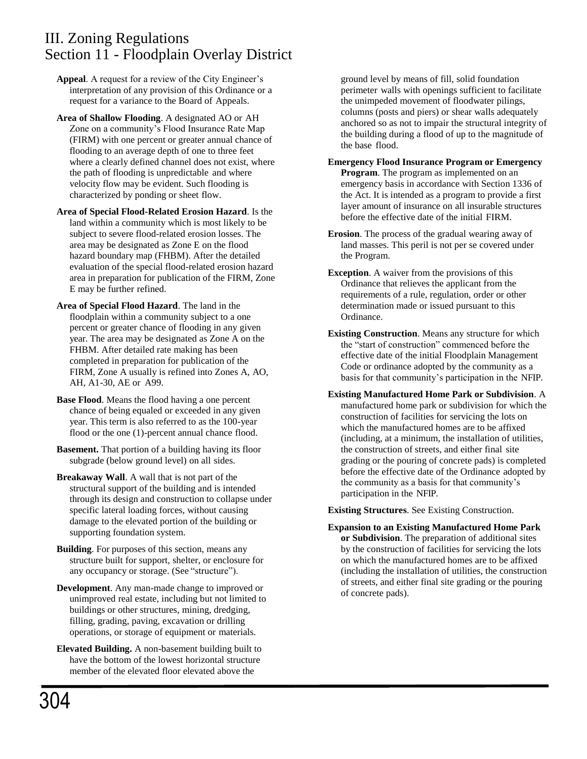**Appeal**. A request for a review of the City Engineer's interpretation of any provision of this Ordinance or a request for a variance to the Board of Appeals.

- **Area of Shallow Flooding**. A designated AO or AH Zone on a community's Flood Insurance Rate Map (FIRM) with one percent or greater annual chance of flooding to an average depth of one to three feet where a clearly defined channel does not exist, where the path of flooding is unpredictable and where velocity flow may be evident. Such flooding is characterized by ponding or sheet flow.
- **Area of Special Flood-Related Erosion Hazard**. Is the land within a community which is most likely to be subject to severe flood-related erosion losses. The area may be designated as Zone E on the flood hazard boundary map (FHBM). After the detailed evaluation of the special flood-related erosion hazard area in preparation for publication of the FIRM, Zone E may be further refined.
- **Area of Special Flood Hazard**. The land in the floodplain within a community subject to a one percent or greater chance of flooding in any given year. The area may be designated as Zone A on the FHBM. After detailed rate making has been completed in preparation for publication of the FIRM, Zone A usually is refined into Zones A, AO, AH, A1-30, AE or A99.
- **Base Flood**. Means the flood having a one percent chance of being equaled or exceeded in any given year. This term is also referred to as the 100-year flood or the one (1)-percent annual chance flood.
- **Basement.** That portion of a building having its floor subgrade (below ground level) on all sides.
- **Breakaway Wall**. A wall that is not part of the structural support of the building and is intended through its design and construction to collapse under specific lateral loading forces, without causing damage to the elevated portion of the building or supporting foundation system.
- **Building**. For purposes of this section, means any structure built for support, shelter, or enclosure for any occupancy or storage. (See "structure").
- **Development**. Any man-made change to improved or unimproved real estate, including but not limited to buildings or other structures, mining, dredging, filling, grading, paving, excavation or drilling operations, or storage of equipment or materials.
- **Elevated Building.** A non-basement building built to have the bottom of the lowest horizontal structure member of the elevated floor elevated above the

ground level by means of fill, solid foundation perimeter walls with openings sufficient to facilitate the unimpeded movement of floodwater pilings, columns (posts and piers) or shear walls adequately anchored so as not to impair the structural integrity of the building during a flood of up to the magnitude of the base flood.

- **Emergency Flood Insurance Program or Emergency Program**. The program as implemented on an emergency basis in accordance with Section 1336 of the Act. It is intended as a program to provide a first layer amount of insurance on all insurable structures before the effective date of the initial FIRM.
- **Erosion**. The process of the gradual wearing away of land masses. This peril is not per se covered under the Program.
- **Exception**. A waiver from the provisions of this Ordinance that relieves the applicant from the requirements of a rule, regulation, order or other determination made or issued pursuant to this Ordinance.
- **Existing Construction**. Means any structure for which the "start of construction" commenced before the effective date of the initial Floodplain Management Code or ordinance adopted by the community as a basis for that community's participation in the NFIP.
- **Existing Manufactured Home Park or Subdivision**. A manufactured home park or subdivision for which the construction of facilities for servicing the lots on which the manufactured homes are to be affixed (including, at a minimum, the installation of utilities, the construction of streets, and either final site grading or the pouring of concrete pads) is completed before the effective date of the Ordinance adopted by the community as a basis for that community's participation in the NFIP.

**Existing Structures**. See Existing Construction.

**Expansion to an Existing Manufactured Home Park or Subdivision**. The preparation of additional sites by the construction of facilities for servicing the lots on which the manufactured homes are to be affixed (including the installation of utilities, the construction of streets, and either final site grading or the pouring of concrete pads).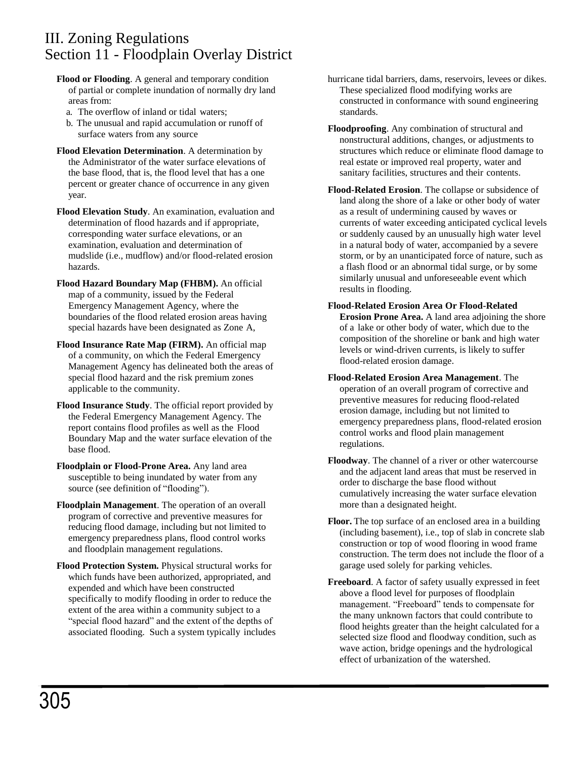- **Flood or Flooding**. A general and temporary condition of partial or complete inundation of normally dry land areas from:
	- a. The overflow of inland or tidal waters;
	- b. The unusual and rapid accumulation or runoff of surface waters from any source
- **Flood Elevation Determination**. A determination by the Administrator of the water surface elevations of the base flood, that is, the flood level that has a one percent or greater chance of occurrence in any given year.
- **Flood Elevation Study**. An examination, evaluation and determination of flood hazards and if appropriate, corresponding water surface elevations, or an examination, evaluation and determination of mudslide (i.e., mudflow) and/or flood-related erosion hazards.
- **Flood Hazard Boundary Map (FHBM).** An official map of a community, issued by the Federal Emergency Management Agency, where the boundaries of the flood related erosion areas having special hazards have been designated as Zone A,
- **Flood Insurance Rate Map (FIRM).** An official map of a community, on which the Federal Emergency Management Agency has delineated both the areas of special flood hazard and the risk premium zones applicable to the community.
- **Flood Insurance Study**. The official report provided by the Federal Emergency Management Agency. The report contains flood profiles as well as the Flood Boundary Map and the water surface elevation of the base flood.
- **Floodplain or Flood-Prone Area.** Any land area susceptible to being inundated by water from any source (see definition of "flooding").
- **Floodplain Management**. The operation of an overall program of corrective and preventive measures for reducing flood damage, including but not limited to emergency preparedness plans, flood control works and floodplain management regulations.
- **Flood Protection System.** Physical structural works for which funds have been authorized, appropriated, and expended and which have been constructed specifically to modify flooding in order to reduce the extent of the area within a community subject to a "special flood hazard" and the extent of the depths of associated flooding. Such a system typically includes
- hurricane tidal barriers, dams, reservoirs, levees or dikes. These specialized flood modifying works are constructed in conformance with sound engineering standards.
- **Floodproofing**. Any combination of structural and nonstructural additions, changes, or adjustments to structures which reduce or eliminate flood damage to real estate or improved real property, water and sanitary facilities, structures and their contents.
- **Flood-Related Erosion**. The collapse or subsidence of land along the shore of a lake or other body of water as a result of undermining caused by waves or currents of water exceeding anticipated cyclical levels or suddenly caused by an unusually high water level in a natural body of water, accompanied by a severe storm, or by an unanticipated force of nature, such as a flash flood or an abnormal tidal surge, or by some similarly unusual and unforeseeable event which results in flooding.
- **Flood-Related Erosion Area Or Flood-Related Erosion Prone Area.** A land area adjoining the shore of a lake or other body of water, which due to the composition of the shoreline or bank and high water levels or wind-driven currents, is likely to suffer flood-related erosion damage.
- **Flood-Related Erosion Area Management**. The operation of an overall program of corrective and preventive measures for reducing flood-related erosion damage, including but not limited to emergency preparedness plans, flood-related erosion control works and flood plain management regulations.
- **Floodway**. The channel of a river or other watercourse and the adjacent land areas that must be reserved in order to discharge the base flood without cumulatively increasing the water surface elevation more than a designated height.
- **Floor.** The top surface of an enclosed area in a building (including basement), i.e., top of slab in concrete slab construction or top of wood flooring in wood frame construction. The term does not include the floor of a garage used solely for parking vehicles.
- **Freeboard**. A factor of safety usually expressed in feet above a flood level for purposes of floodplain management. "Freeboard" tends to compensate for the many unknown factors that could contribute to flood heights greater than the height calculated for a selected size flood and floodway condition, such as wave action, bridge openings and the hydrological effect of urbanization of the watershed.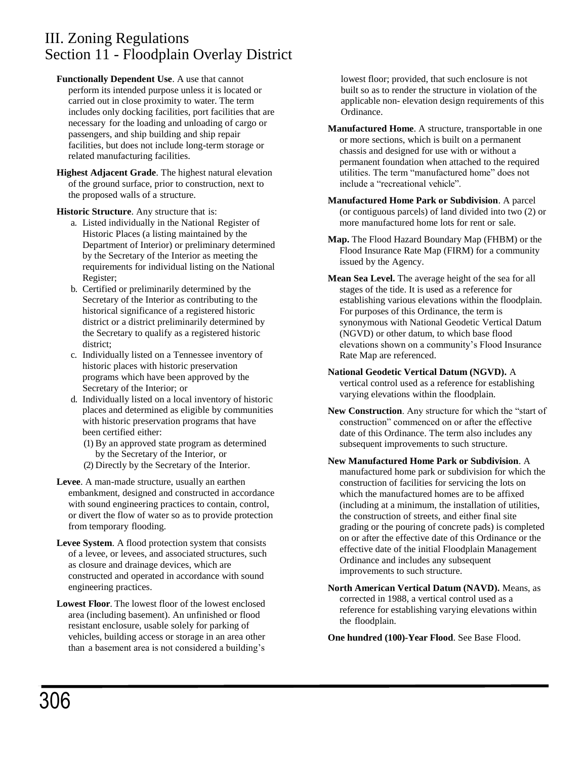- **Functionally Dependent Use**. A use that cannot perform its intended purpose unless it is located or carried out in close proximity to water. The term includes only docking facilities, port facilities that are necessary for the loading and unloading of cargo or passengers, and ship building and ship repair facilities, but does not include long-term storage or related manufacturing facilities.
- **Highest Adjacent Grade**. The highest natural elevation of the ground surface, prior to construction, next to the proposed walls of a structure.

**Historic Structure**. Any structure that is:

- a. Listed individually in the National Register of Historic Places (a listing maintained by the Department of Interior) or preliminary determined by the Secretary of the Interior as meeting the requirements for individual listing on the National Register;
- b. Certified or preliminarily determined by the Secretary of the Interior as contributing to the historical significance of a registered historic district or a district preliminarily determined by the Secretary to qualify as a registered historic district;
- c. Individually listed on a Tennessee inventory of historic places with historic preservation programs which have been approved by the Secretary of the Interior; or
- d. Individually listed on a local inventory of historic places and determined as eligible by communities with historic preservation programs that have been certified either:
	- (1) By an approved state program as determined by the Secretary of the Interior, or
	- (2) Directly by the Secretary of the Interior.
- **Levee**. A man-made structure, usually an earthen embankment, designed and constructed in accordance with sound engineering practices to contain, control, or divert the flow of water so as to provide protection from temporary flooding.
- **Levee System**. A flood protection system that consists of a levee, or levees, and associated structures, such as closure and drainage devices, which are constructed and operated in accordance with sound engineering practices.
- **Lowest Floor**. The lowest floor of the lowest enclosed area (including basement). An unfinished or flood resistant enclosure, usable solely for parking of vehicles, building access or storage in an area other than a basement area is not considered a building's

lowest floor; provided, that such enclosure is not built so as to render the structure in violation of the applicable non- elevation design requirements of this Ordinance.

- **Manufactured Home**. A structure, transportable in one or more sections, which is built on a permanent chassis and designed for use with or without a permanent foundation when attached to the required utilities. The term "manufactured home" does not include a "recreational vehicle".
- **Manufactured Home Park or Subdivision**. A parcel (or contiguous parcels) of land divided into two (2) or more manufactured home lots for rent or sale.
- **Map.** The Flood Hazard Boundary Map (FHBM) or the Flood Insurance Rate Map (FIRM) for a community issued by the Agency.
- **Mean Sea Level.** The average height of the sea for all stages of the tide. It is used as a reference for establishing various elevations within the floodplain. For purposes of this Ordinance, the term is synonymous with National Geodetic Vertical Datum (NGVD) or other datum, to which base flood elevations shown on a community's Flood Insurance Rate Map are referenced.
- **National Geodetic Vertical Datum (NGVD).** A vertical control used as a reference for establishing varying elevations within the floodplain.
- **New Construction**. Any structure for which the "start of construction" commenced on or after the effective date of this Ordinance. The term also includes any subsequent improvements to such structure.
- **New Manufactured Home Park or Subdivision**. A manufactured home park or subdivision for which the construction of facilities for servicing the lots on which the manufactured homes are to be affixed (including at a minimum, the installation of utilities, the construction of streets, and either final site grading or the pouring of concrete pads) is completed on or after the effective date of this Ordinance or the effective date of the initial Floodplain Management Ordinance and includes any subsequent improvements to such structure.
- **North American Vertical Datum (NAVD).** Means, as corrected in 1988, a vertical control used as a reference for establishing varying elevations within the floodplain.

**One hundred (100)-Year Flood**. See Base Flood.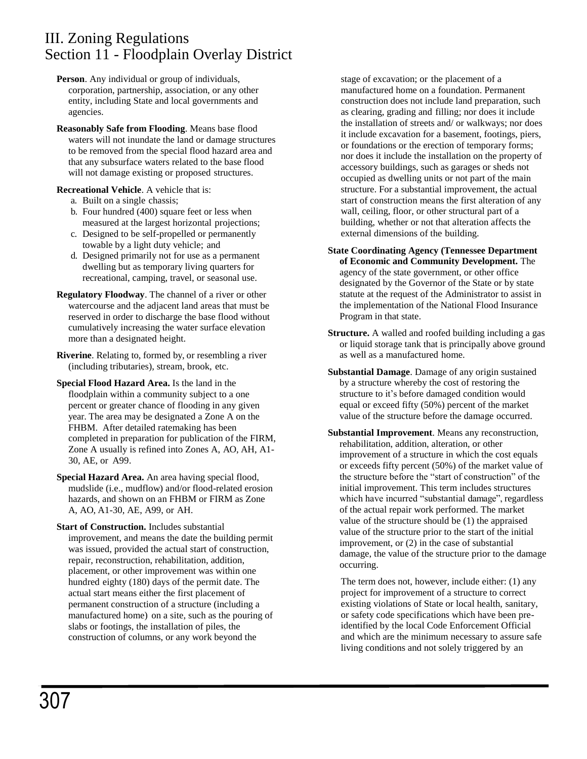- **Person**. Any individual or group of individuals, corporation, partnership, association, or any other entity, including State and local governments and agencies.
- **Reasonably Safe from Flooding**. Means base flood waters will not inundate the land or damage structures to be removed from the special flood hazard area and that any subsurface waters related to the base flood will not damage existing or proposed structures.

### **Recreational Vehicle**. A vehicle that is:

- a. Built on a single chassis;
- b. Four hundred (400) square feet or less when measured at the largest horizontal projections;
- c. Designed to be self-propelled or permanently towable by a light duty vehicle; and
- d. Designed primarily not for use as a permanent dwelling but as temporary living quarters for recreational, camping, travel, or seasonal use.
- **Regulatory Floodway**. The channel of a river or other watercourse and the adjacent land areas that must be reserved in order to discharge the base flood without cumulatively increasing the water surface elevation more than a designated height.
- **Riverine**. Relating to, formed by, or resembling a river (including tributaries), stream, brook, etc.
- **Special Flood Hazard Area.** Is the land in the floodplain within a community subject to a one percent or greater chance of flooding in any given year. The area may be designated a Zone A on the FHBM. After detailed ratemaking has been completed in preparation for publication of the FIRM, Zone A usually is refined into Zones A, AO, AH, A1- 30, AE, or A99.
- **Special Hazard Area.** An area having special flood, mudslide (i.e., mudflow) and/or flood-related erosion hazards, and shown on an FHBM or FIRM as Zone A, AO, A1-30, AE, A99, or AH.
- **Start of Construction.** Includes substantial improvement, and means the date the building permit was issued, provided the actual start of construction, repair, reconstruction, rehabilitation, addition, placement, or other improvement was within one hundred eighty (180) days of the permit date. The actual start means either the first placement of permanent construction of a structure (including a manufactured home) on a site, such as the pouring of slabs or footings, the installation of piles, the construction of columns, or any work beyond the

stage of excavation; or the placement of a manufactured home on a foundation. Permanent construction does not include land preparation, such as clearing, grading and filling; nor does it include the installation of streets and/ or walkways; nor does it include excavation for a basement, footings, piers, or foundations or the erection of temporary forms; nor does it include the installation on the property of accessory buildings, such as garages or sheds not occupied as dwelling units or not part of the main structure. For a substantial improvement, the actual start of construction means the first alteration of any wall, ceiling, floor, or other structural part of a building, whether or not that alteration affects the external dimensions of the building.

- **State Coordinating Agency (Tennessee Department of Economic and Community Development.** The agency of the state government, or other office designated by the Governor of the State or by state statute at the request of the Administrator to assist in the implementation of the National Flood Insurance Program in that state.
- **Structure.** A walled and roofed building including a gas or liquid storage tank that is principally above ground as well as a manufactured home.
- **Substantial Damage**. Damage of any origin sustained by a structure whereby the cost of restoring the structure to it's before damaged condition would equal or exceed fifty (50%) percent of the market value of the structure before the damage occurred.
- **Substantial Improvement**. Means any reconstruction, rehabilitation, addition, alteration, or other improvement of a structure in which the cost equals or exceeds fifty percent (50%) of the market value of the structure before the "start of construction" of the initial improvement. This term includes structures which have incurred "substantial damage", regardless of the actual repair work performed. The market value of the structure should be (1) the appraised value of the structure prior to the start of the initial improvement, or (2) in the case of substantial damage, the value of the structure prior to the damage occurring.

The term does not, however, include either: (1) any project for improvement of a structure to correct existing violations of State or local health, sanitary, or safety code specifications which have been preidentified by the local Code Enforcement Official and which are the minimum necessary to assure safe living conditions and not solely triggered by an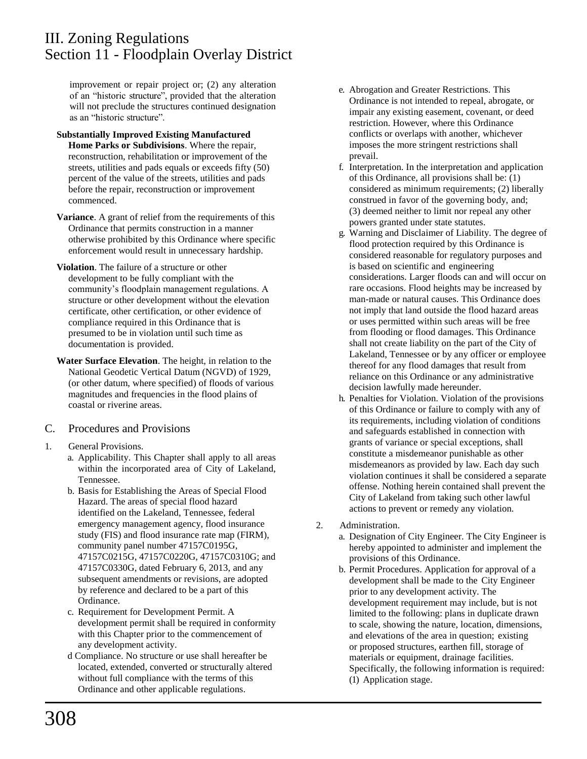improvement or repair project or; (2) any alteration of an "historic structure", provided that the alteration will not preclude the structures continued designation as an "historic structure".

#### **Substantially Improved Existing Manufactured Home Parks or Subdivisions**. Where the repair, reconstruction, rehabilitation or improvement of the streets, utilities and pads equals or exceeds fifty (50) percent of the value of the streets, utilities and pads before the repair, reconstruction or improvement commenced.

- **Variance**. A grant of relief from the requirements of this Ordinance that permits construction in a manner otherwise prohibited by this Ordinance where specific enforcement would result in unnecessary hardship.
- **Violation**. The failure of a structure or other development to be fully compliant with the community's floodplain management regulations. A structure or other development without the elevation certificate, other certification, or other evidence of compliance required in this Ordinance that is presumed to be in violation until such time as documentation is provided.
- **Water Surface Elevation**. The height, in relation to the National Geodetic Vertical Datum (NGVD) of 1929, (or other datum, where specified) of floods of various magnitudes and frequencies in the flood plains of coastal or riverine areas.

### C. Procedures and Provisions

- 1. General Provisions.
	- a. Applicability. This Chapter shall apply to all areas within the incorporated area of City of Lakeland, Tennessee.
	- b. Basis for Establishing the Areas of Special Flood Hazard. The areas of special flood hazard identified on the Lakeland, Tennessee, federal emergency management agency, flood insurance study (FIS) and flood insurance rate map (FIRM), community panel number 47157C0195G, 47157C0215G, 47157C0220G, 47157C0310G; and 47157C0330G, dated February 6, 2013, and any subsequent amendments or revisions, are adopted by reference and declared to be a part of this Ordinance.
	- c. Requirement for Development Permit. A development permit shall be required in conformity with this Chapter prior to the commencement of any development activity.
	- d Compliance. No structure or use shall hereafter be located, extended, converted or structurally altered without full compliance with the terms of this Ordinance and other applicable regulations.
- e. Abrogation and Greater Restrictions. This Ordinance is not intended to repeal, abrogate, or impair any existing easement, covenant, or deed restriction. However, where this Ordinance conflicts or overlaps with another, whichever imposes the more stringent restrictions shall prevail.
- f. Interpretation. In the interpretation and application of this Ordinance, all provisions shall be: (1) considered as minimum requirements; (2) liberally construed in favor of the governing body, and; (3) deemed neither to limit nor repeal any other powers granted under state statutes.
- g. Warning and Disclaimer of Liability. The degree of flood protection required by this Ordinance is considered reasonable for regulatory purposes and is based on scientific and engineering considerations. Larger floods can and will occur on rare occasions. Flood heights may be increased by man-made or natural causes. This Ordinance does not imply that land outside the flood hazard areas or uses permitted within such areas will be free from flooding or flood damages. This Ordinance shall not create liability on the part of the City of Lakeland, Tennessee or by any officer or employee thereof for any flood damages that result from reliance on this Ordinance or any administrative decision lawfully made hereunder.
- h. Penalties for Violation. Violation of the provisions of this Ordinance or failure to comply with any of its requirements, including violation of conditions and safeguards established in connection with grants of variance or special exceptions, shall constitute a misdemeanor punishable as other misdemeanors as provided by law. Each day such violation continues it shall be considered a separate offense. Nothing herein contained shall prevent the City of Lakeland from taking such other lawful actions to prevent or remedy any violation.
- 2. Administration.
	- a. Designation of City Engineer. The City Engineer is hereby appointed to administer and implement the provisions of this Ordinance.
	- b. Permit Procedures. Application for approval of a development shall be made to the City Engineer prior to any development activity. The development requirement may include, but is not limited to the following: plans in duplicate drawn to scale, showing the nature, location, dimensions, and elevations of the area in question; existing or proposed structures, earthen fill, storage of materials or equipment, drainage facilities. Specifically, the following information is required: (1) Application stage.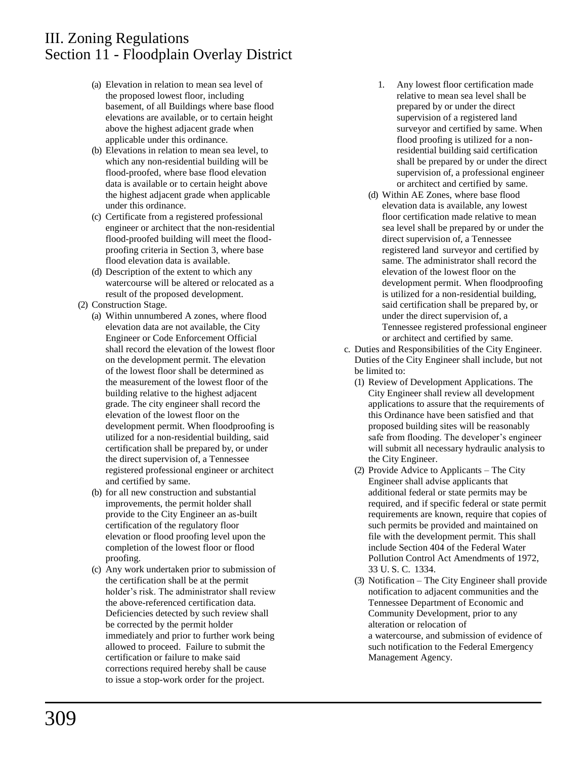- (a) Elevation in relation to mean sea level of the proposed lowest floor, including basement, of all Buildings where base flood elevations are available, or to certain height above the highest adjacent grade when applicable under this ordinance.
- (b) Elevations in relation to mean sea level, to which any non-residential building will be flood-proofed, where base flood elevation data is available or to certain height above the highest adjacent grade when applicable under this ordinance.
- (c) Certificate from a registered professional engineer or architect that the non-residential flood-proofed building will meet the floodproofing criteria in Section 3, where base flood elevation data is available.
- (d) Description of the extent to which any watercourse will be altered or relocated as a result of the proposed development.
- (2) Construction Stage.
	- (a) Within unnumbered A zones, where flood elevation data are not available, the City Engineer or Code Enforcement Official shall record the elevation of the lowest floor on the development permit. The elevation of the lowest floor shall be determined as the measurement of the lowest floor of the building relative to the highest adjacent grade. The city engineer shall record the elevation of the lowest floor on the development permit. When floodproofing is utilized for a non-residential building, said certification shall be prepared by, or under the direct supervision of, a Tennessee registered professional engineer or architect and certified by same.
	- (b) for all new construction and substantial improvements, the permit holder shall provide to the City Engineer an as-built certification of the regulatory floor elevation or flood proofing level upon the completion of the lowest floor or flood proofing.
	- (c) Any work undertaken prior to submission of the certification shall be at the permit holder's risk. The administrator shall review the above-referenced certification data. Deficiencies detected by such review shall be corrected by the permit holder immediately and prior to further work being allowed to proceed. Failure to submit the certification or failure to make said corrections required hereby shall be cause to issue a stop-work order for the project.
- 1. Any lowest floor certification made relative to mean sea level shall be prepared by or under the direct supervision of a registered land surveyor and certified by same. When flood proofing is utilized for a nonresidential building said certification shall be prepared by or under the direct supervision of, a professional engineer or architect and certified by same.
- (d) Within AE Zones, where base flood elevation data is available, any lowest floor certification made relative to mean sea level shall be prepared by or under the direct supervision of, a Tennessee registered land surveyor and certified by same. The administrator shall record the elevation of the lowest floor on the development permit. When floodproofing is utilized for a non-residential building, said certification shall be prepared by, or under the direct supervision of, a Tennessee registered professional engineer or architect and certified by same.
- c. Duties and Responsibilities of the City Engineer. Duties of the City Engineer shall include, but not be limited to:
	- (1) Review of Development Applications. The City Engineer shall review all development applications to assure that the requirements of this Ordinance have been satisfied and that proposed building sites will be reasonably safe from flooding. The developer's engineer will submit all necessary hydraulic analysis to the City Engineer.
	- (2) Provide Advice to Applicants The City Engineer shall advise applicants that additional federal or state permits may be required, and if specific federal or state permit requirements are known, require that copies of such permits be provided and maintained on file with the development permit. This shall include Section 404 of the Federal Water Pollution Control Act Amendments of 1972, 33 U. S. C. 1334.
	- (3) Notification The City Engineer shall provide notification to adjacent communities and the Tennessee Department of Economic and Community Development, prior to any alteration or relocation of a watercourse, and submission of evidence of such notification to the Federal Emergency Management Agency.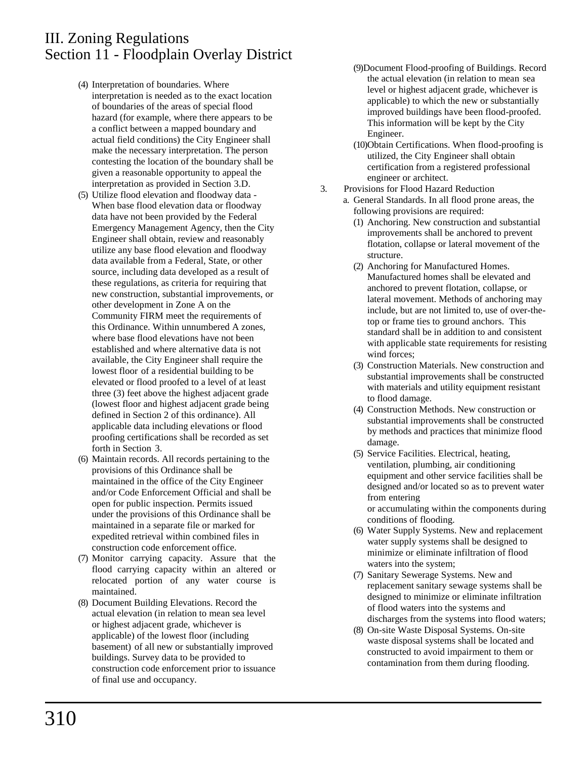- (4) Interpretation of boundaries. Where interpretation is needed as to the exact location of boundaries of the areas of special flood hazard (for example, where there appears to be a conflict between a mapped boundary and actual field conditions) the City Engineer shall make the necessary interpretation. The person contesting the location of the boundary shall be given a reasonable opportunity to appeal the interpretation as provided in Section 3.D.
- (5) Utilize flood elevation and floodway data When base flood elevation data or floodway data have not been provided by the Federal Emergency Management Agency, then the City Engineer shall obtain, review and reasonably utilize any base flood elevation and floodway data available from a Federal, State, or other source, including data developed as a result of these regulations, as criteria for requiring that new construction, substantial improvements, or other development in Zone A on the Community FIRM meet the requirements of this Ordinance. Within unnumbered A zones, where base flood elevations have not been established and where alternative data is not available, the City Engineer shall require the lowest floor of a residential building to be elevated or flood proofed to a level of at least three (3) feet above the highest adjacent grade (lowest floor and highest adjacent grade being defined in Section 2 of this ordinance). All applicable data including elevations or flood proofing certifications shall be recorded as set forth in Section 3.
- (6) Maintain records. All records pertaining to the provisions of this Ordinance shall be maintained in the office of the City Engineer and/or Code Enforcement Official and shall be open for public inspection. Permits issued under the provisions of this Ordinance shall be maintained in a separate file or marked for expedited retrieval within combined files in construction code enforcement office.
- (7) Monitor carrying capacity. Assure that the flood carrying capacity within an altered or relocated portion of any water course is maintained.
- (8) Document Building Elevations. Record the actual elevation (in relation to mean sea level or highest adjacent grade, whichever is applicable) of the lowest floor (including basement) of all new or substantially improved buildings. Survey data to be provided to construction code enforcement prior to issuance of final use and occupancy.
- (9)Document Flood-proofing of Buildings. Record the actual elevation (in relation to mean sea level or highest adjacent grade, whichever is applicable) to which the new or substantially improved buildings have been flood-proofed. This information will be kept by the City Engineer.
- (10)Obtain Certifications. When flood-proofing is utilized, the City Engineer shall obtain certification from a registered professional engineer or architect.
- 3. Provisions for Flood Hazard Reduction
	- a. General Standards. In all flood prone areas, the following provisions are required:
		- (1) Anchoring. New construction and substantial improvements shall be anchored to prevent flotation, collapse or lateral movement of the structure.
		- (2) Anchoring for Manufactured Homes. Manufactured homes shall be elevated and anchored to prevent flotation, collapse, or lateral movement. Methods of anchoring may include, but are not limited to, use of over-thetop or frame ties to ground anchors. This standard shall be in addition to and consistent with applicable state requirements for resisting wind forces;
		- (3) Construction Materials. New construction and substantial improvements shall be constructed with materials and utility equipment resistant to flood damage.
		- (4) Construction Methods. New construction or substantial improvements shall be constructed by methods and practices that minimize flood damage.
		- (5) Service Facilities. Electrical, heating, ventilation, plumbing, air conditioning equipment and other service facilities shall be designed and/or located so as to prevent water from entering or accumulating within the components during conditions of flooding.
		- (6) Water Supply Systems. New and replacement water supply systems shall be designed to minimize or eliminate infiltration of flood waters into the system;
		- (7) Sanitary Sewerage Systems. New and replacement sanitary sewage systems shall be designed to minimize or eliminate infiltration of flood waters into the systems and discharges from the systems into flood waters;
		- (8) On-site Waste Disposal Systems. On-site waste disposal systems shall be located and constructed to avoid impairment to them or contamination from them during flooding.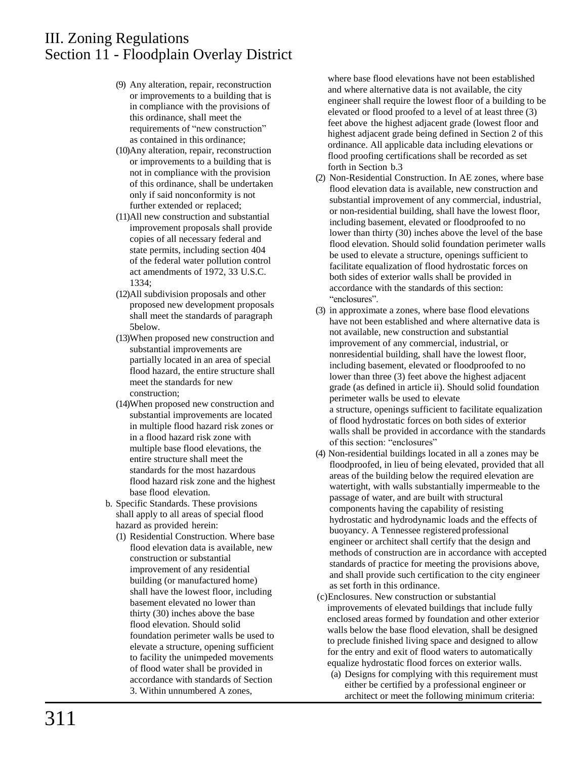- (9) Any alteration, repair, reconstruction or improvements to a building that is in compliance with the provisions of this ordinance, shall meet the requirements of "new construction" as contained in this ordinance;
- (10)Any alteration, repair, reconstruction or improvements to a building that is not in compliance with the provision of this ordinance, shall be undertaken only if said nonconformity is not further extended or replaced;
- (11)All new construction and substantial improvement proposals shall provide copies of all necessary federal and state permits, including section 404 of the federal water pollution control act amendments of 1972, 33 U.S.C. 1334;
- (12)All subdivision proposals and other proposed new development proposals shall meet the standards of paragraph 5below.
- (13)When proposed new construction and substantial improvements are partially located in an area of special flood hazard, the entire structure shall meet the standards for new construction;
- (14)When proposed new construction and substantial improvements are located in multiple flood hazard risk zones or in a flood hazard risk zone with multiple base flood elevations, the entire structure shall meet the standards for the most hazardous flood hazard risk zone and the highest base flood elevation.
- b. Specific Standards. These provisions shall apply to all areas of special flood hazard as provided herein:
	- (1) Residential Construction. Where base flood elevation data is available, new construction or substantial improvement of any residential building (or manufactured home) shall have the lowest floor, including basement elevated no lower than thirty (30) inches above the base flood elevation. Should solid foundation perimeter walls be used to elevate a structure, opening sufficient to facility the unimpeded movements of flood water shall be provided in accordance with standards of Section 3. Within unnumbered A zones,

where base flood elevations have not been established and where alternative data is not available, the city engineer shall require the lowest floor of a building to be elevated or flood proofed to a level of at least three (3) feet above the highest adjacent grade (lowest floor and highest adjacent grade being defined in Section 2 of this ordinance. All applicable data including elevations or flood proofing certifications shall be recorded as set forth in Section b.3

- (2) Non-Residential Construction. In AE zones, where base flood elevation data is available, new construction and substantial improvement of any commercial, industrial, or non-residential building, shall have the lowest floor, including basement, elevated or floodproofed to no lower than thirty (30) inches above the level of the base flood elevation. Should solid foundation perimeter walls be used to elevate a structure, openings sufficient to facilitate equalization of flood hydrostatic forces on both sides of exterior walls shall be provided in accordance with the standards of this section: "enclosures".
- (3) in approximate a zones, where base flood elevations have not been established and where alternative data is not available, new construction and substantial improvement of any commercial, industrial, or nonresidential building, shall have the lowest floor, including basement, elevated or floodproofed to no lower than three (3) feet above the highest adjacent grade (as defined in article ii). Should solid foundation perimeter walls be used to elevate a structure, openings sufficient to facilitate equalization of flood hydrostatic forces on both sides of exterior walls shall be provided in accordance with the standards of this section: "enclosures"
- (4) Non-residential buildings located in all a zones may be floodproofed, in lieu of being elevated, provided that all areas of the building below the required elevation are watertight, with walls substantially impermeable to the passage of water, and are built with structural components having the capability of resisting hydrostatic and hydrodynamic loads and the effects of buoyancy. A Tennessee registered professional engineer or architect shall certify that the design and methods of construction are in accordance with accepted standards of practice for meeting the provisions above, and shall provide such certification to the city engineer as set forth in this ordinance.
- (c)Enclosures. New construction or substantial improvements of elevated buildings that include fully enclosed areas formed by foundation and other exterior walls below the base flood elevation, shall be designed to preclude finished living space and designed to allow for the entry and exit of flood waters to automatically equalize hydrostatic flood forces on exterior walls.
	- (a) Designs for complying with this requirement must either be certified by a professional engineer or architect or meet the following minimum criteria: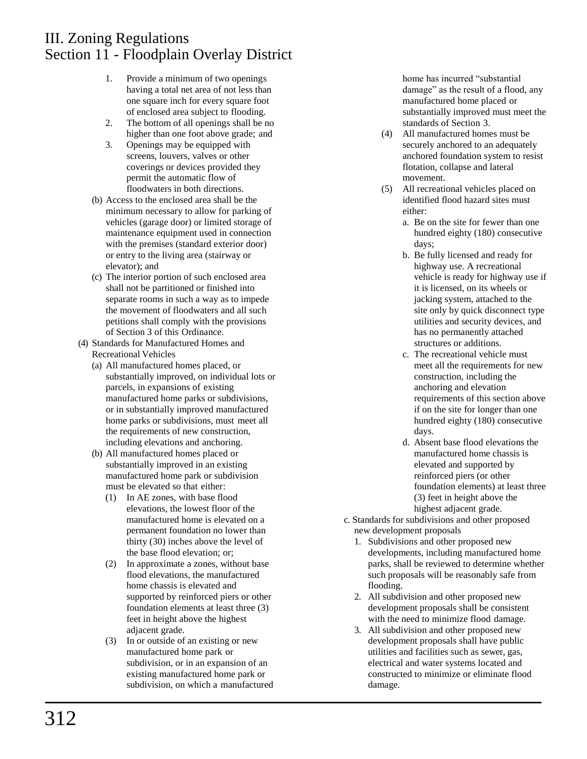- 1. Provide a minimum of two openings having a total net area of not less than one square inch for every square foot of enclosed area subject to flooding.
- 2. The bottom of all openings shall be no higher than one foot above grade; and
- 3. Openings may be equipped with screens, louvers, valves or other coverings or devices provided they permit the automatic flow of floodwaters in both directions.
- (b) Access to the enclosed area shall be the minimum necessary to allow for parking of vehicles (garage door) or limited storage of maintenance equipment used in connection with the premises (standard exterior door) or entry to the living area (stairway or elevator); and
- (c) The interior portion of such enclosed area shall not be partitioned or finished into separate rooms in such a way as to impede the movement of floodwaters and all such petitions shall comply with the provisions of Section 3 of this Ordinance.
- (4) Standards for Manufactured Homes and Recreational Vehicles
	- (a) All manufactured homes placed, or substantially improved, on individual lots or parcels, in expansions of existing manufactured home parks or subdivisions, or in substantially improved manufactured home parks or subdivisions, must meet all the requirements of new construction, including elevations and anchoring.
	- (b) All manufactured homes placed or substantially improved in an existing manufactured home park or subdivision must be elevated so that either:
		- (1) In AE zones, with base flood elevations, the lowest floor of the manufactured home is elevated on a permanent foundation no lower than thirty (30) inches above the level of the base flood elevation; or;
		- (2) In approximate a zones, without base flood elevations, the manufactured home chassis is elevated and supported by reinforced piers or other foundation elements at least three (3) feet in height above the highest adjacent grade.
		- (3) In or outside of an existing or new manufactured home park or subdivision, or in an expansion of an existing manufactured home park or subdivision, on which a manufactured

home has incurred "substantial damage" as the result of a flood, any manufactured home placed or substantially improved must meet the standards of Section 3.

- (4) All manufactured homes must be securely anchored to an adequately anchored foundation system to resist flotation, collapse and lateral movement.
- (5) All recreational vehicles placed on identified flood hazard sites must either:
	- a. Be on the site for fewer than one hundred eighty (180) consecutive days;
	- b. Be fully licensed and ready for highway use. A recreational vehicle is ready for highway use if it is licensed, on its wheels or jacking system, attached to the site only by quick disconnect type utilities and security devices, and has no permanently attached structures or additions.
	- c. The recreational vehicle must meet all the requirements for new construction, including the anchoring and elevation requirements of this section above if on the site for longer than one hundred eighty (180) consecutive days.
	- d. Absent base flood elevations the manufactured home chassis is elevated and supported by reinforced piers (or other foundation elements) at least three (3) feet in height above the highest adjacent grade.
- c. Standards for subdivisions and other proposed new development proposals
	- 1. Subdivisions and other proposed new developments, including manufactured home parks, shall be reviewed to determine whether such proposals will be reasonably safe from flooding.
	- 2. All subdivision and other proposed new development proposals shall be consistent with the need to minimize flood damage.
	- 3. All subdivision and other proposed new development proposals shall have public utilities and facilities such as sewer, gas, electrical and water systems located and constructed to minimize or eliminate flood damage.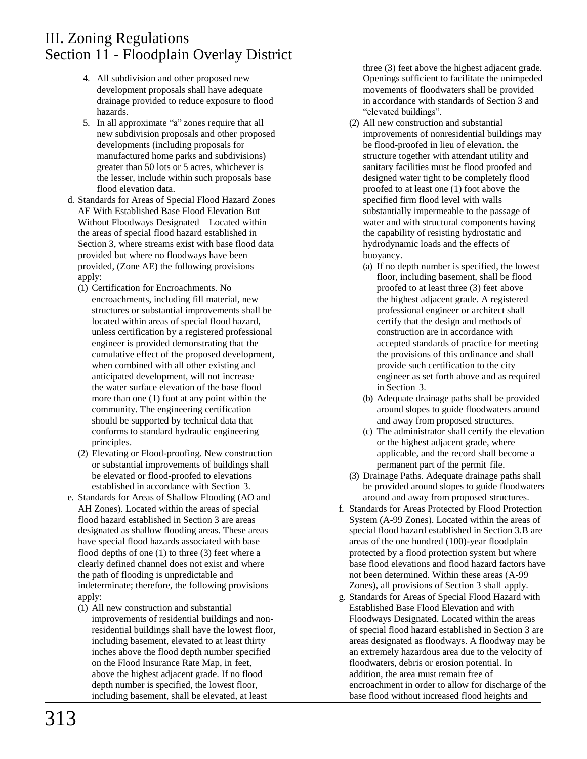- 4. All subdivision and other proposed new development proposals shall have adequate drainage provided to reduce exposure to flood hazards.
- 5. In all approximate "a" zones require that all new subdivision proposals and other proposed developments (including proposals for manufactured home parks and subdivisions) greater than 50 lots or 5 acres, whichever is the lesser, include within such proposals base flood elevation data.
- d. Standards for Areas of Special Flood Hazard Zones AE With Established Base Flood Elevation But Without Floodways Designated – Located within the areas of special flood hazard established in Section 3, where streams exist with base flood data provided but where no floodways have been provided, (Zone AE) the following provisions apply:
	- (1) Certification for Encroachments. No encroachments, including fill material, new structures or substantial improvements shall be located within areas of special flood hazard, unless certification by a registered professional engineer is provided demonstrating that the cumulative effect of the proposed development, when combined with all other existing and anticipated development, will not increase the water surface elevation of the base flood more than one (1) foot at any point within the community. The engineering certification should be supported by technical data that conforms to standard hydraulic engineering principles.
	- (2) Elevating or Flood-proofing. New construction or substantial improvements of buildings shall be elevated or flood-proofed to elevations established in accordance with Section 3.
- e. Standards for Areas of Shallow Flooding (AO and AH Zones). Located within the areas of special flood hazard established in Section 3 are areas designated as shallow flooding areas. These areas have special flood hazards associated with base flood depths of one (1) to three (3) feet where a clearly defined channel does not exist and where the path of flooding is unpredictable and indeterminate; therefore, the following provisions apply:
	- (1) All new construction and substantial improvements of residential buildings and nonresidential buildings shall have the lowest floor, including basement, elevated to at least thirty inches above the flood depth number specified on the Flood Insurance Rate Map, in feet, above the highest adjacent grade. If no flood depth number is specified, the lowest floor, including basement, shall be elevated, at least

three (3) feet above the highest adjacent grade. Openings sufficient to facilitate the unimpeded movements of floodwaters shall be provided in accordance with standards of Section 3 and "elevated buildings".

- (2) All new construction and substantial improvements of nonresidential buildings may be flood-proofed in lieu of elevation. the structure together with attendant utility and sanitary facilities must be flood proofed and designed water tight to be completely flood proofed to at least one (1) foot above the specified firm flood level with walls substantially impermeable to the passage of water and with structural components having the capability of resisting hydrostatic and hydrodynamic loads and the effects of buoyancy.
	- (a) If no depth number is specified, the lowest floor, including basement, shall be flood proofed to at least three (3) feet above the highest adjacent grade. A registered professional engineer or architect shall certify that the design and methods of construction are in accordance with accepted standards of practice for meeting the provisions of this ordinance and shall provide such certification to the city engineer as set forth above and as required in Section 3.
	- (b) Adequate drainage paths shall be provided around slopes to guide floodwaters around and away from proposed structures.
	- (c) The administrator shall certify the elevation or the highest adjacent grade, where applicable, and the record shall become a permanent part of the permit file.
- (3) Drainage Paths. Adequate drainage paths shall be provided around slopes to guide floodwaters around and away from proposed structures.
- f. Standards for Areas Protected by Flood Protection System (A-99 Zones). Located within the areas of special flood hazard established in Section 3.B are areas of the one hundred (100)-year floodplain protected by a flood protection system but where base flood elevations and flood hazard factors have not been determined. Within these areas (A-99 Zones), all provisions of Section 3 shall apply.
- g. Standards for Areas of Special Flood Hazard with Established Base Flood Elevation and with Floodways Designated. Located within the areas of special flood hazard established in Section 3 are areas designated as floodways. A floodway may be an extremely hazardous area due to the velocity of floodwaters, debris or erosion potential. In addition, the area must remain free of encroachment in order to allow for discharge of the base flood without increased flood heights and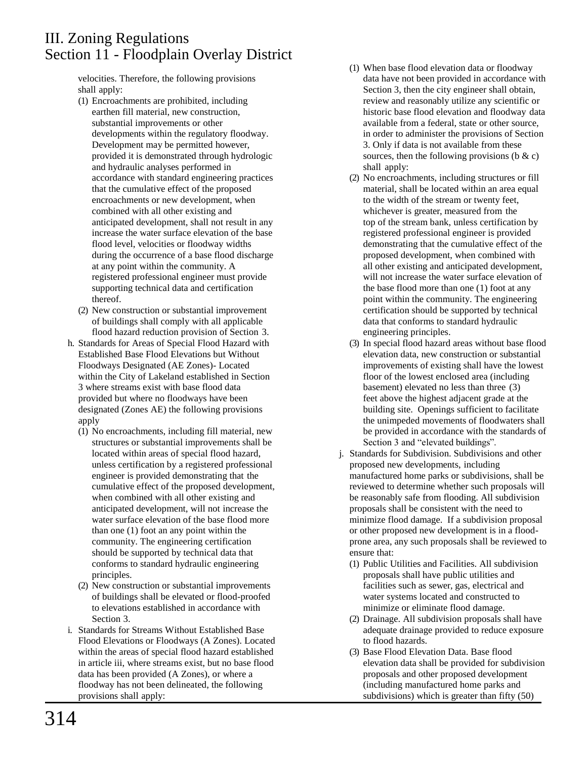velocities. Therefore, the following provisions shall apply:

- (1) Encroachments are prohibited, including earthen fill material, new construction, substantial improvements or other developments within the regulatory floodway. Development may be permitted however, provided it is demonstrated through hydrologic and hydraulic analyses performed in accordance with standard engineering practices that the cumulative effect of the proposed encroachments or new development, when combined with all other existing and anticipated development, shall not result in any increase the water surface elevation of the base flood level, velocities or floodway widths during the occurrence of a base flood discharge at any point within the community. A registered professional engineer must provide supporting technical data and certification thereof.
- (2) New construction or substantial improvement of buildings shall comply with all applicable flood hazard reduction provision of Section 3.
- h. Standards for Areas of Special Flood Hazard with Established Base Flood Elevations but Without Floodways Designated (AE Zones)- Located within the City of Lakeland established in Section 3 where streams exist with base flood data provided but where no floodways have been designated (Zones AE) the following provisions apply
	- (1) No encroachments, including fill material, new structures or substantial improvements shall be located within areas of special flood hazard, unless certification by a registered professional engineer is provided demonstrating that the cumulative effect of the proposed development, when combined with all other existing and anticipated development, will not increase the water surface elevation of the base flood more than one (1) foot an any point within the community. The engineering certification should be supported by technical data that conforms to standard hydraulic engineering principles.
	- (2) New construction or substantial improvements of buildings shall be elevated or flood-proofed to elevations established in accordance with Section 3.
- i. Standards for Streams Without Established Base Flood Elevations or Floodways (A Zones). Located within the areas of special flood hazard established in article iii, where streams exist, but no base flood data has been provided (A Zones), or where a floodway has not been delineated, the following provisions shall apply:
- (1) When base flood elevation data or floodway data have not been provided in accordance with Section 3, then the city engineer shall obtain, review and reasonably utilize any scientific or historic base flood elevation and floodway data available from a federal, state or other source, in order to administer the provisions of Section 3. Only if data is not available from these sources, then the following provisions ( $\&c)$ shall apply:
- (2) No encroachments, including structures or fill material, shall be located within an area equal to the width of the stream or twenty feet, whichever is greater, measured from the top of the stream bank, unless certification by registered professional engineer is provided demonstrating that the cumulative effect of the proposed development, when combined with all other existing and anticipated development, will not increase the water surface elevation of the base flood more than one (1) foot at any point within the community. The engineering certification should be supported by technical data that conforms to standard hydraulic engineering principles.
- (3) In special flood hazard areas without base flood elevation data, new construction or substantial improvements of existing shall have the lowest floor of the lowest enclosed area (including basement) elevated no less than three (3) feet above the highest adjacent grade at the building site. Openings sufficient to facilitate the unimpeded movements of floodwaters shall be provided in accordance with the standards of Section 3 and "elevated buildings".
- j. Standards for Subdivision. Subdivisions and other proposed new developments, including manufactured home parks or subdivisions, shall be reviewed to determine whether such proposals will be reasonably safe from flooding. All subdivision proposals shall be consistent with the need to minimize flood damage. If a subdivision proposal or other proposed new development is in a floodprone area, any such proposals shall be reviewed to ensure that:
	- (1) Public Utilities and Facilities. All subdivision proposals shall have public utilities and facilities such as sewer, gas, electrical and water systems located and constructed to minimize or eliminate flood damage.
	- (2) Drainage. All subdivision proposals shall have adequate drainage provided to reduce exposure to flood hazards.
	- (3) Base Flood Elevation Data. Base flood elevation data shall be provided for subdivision proposals and other proposed development (including manufactured home parks and subdivisions) which is greater than fifty (50)